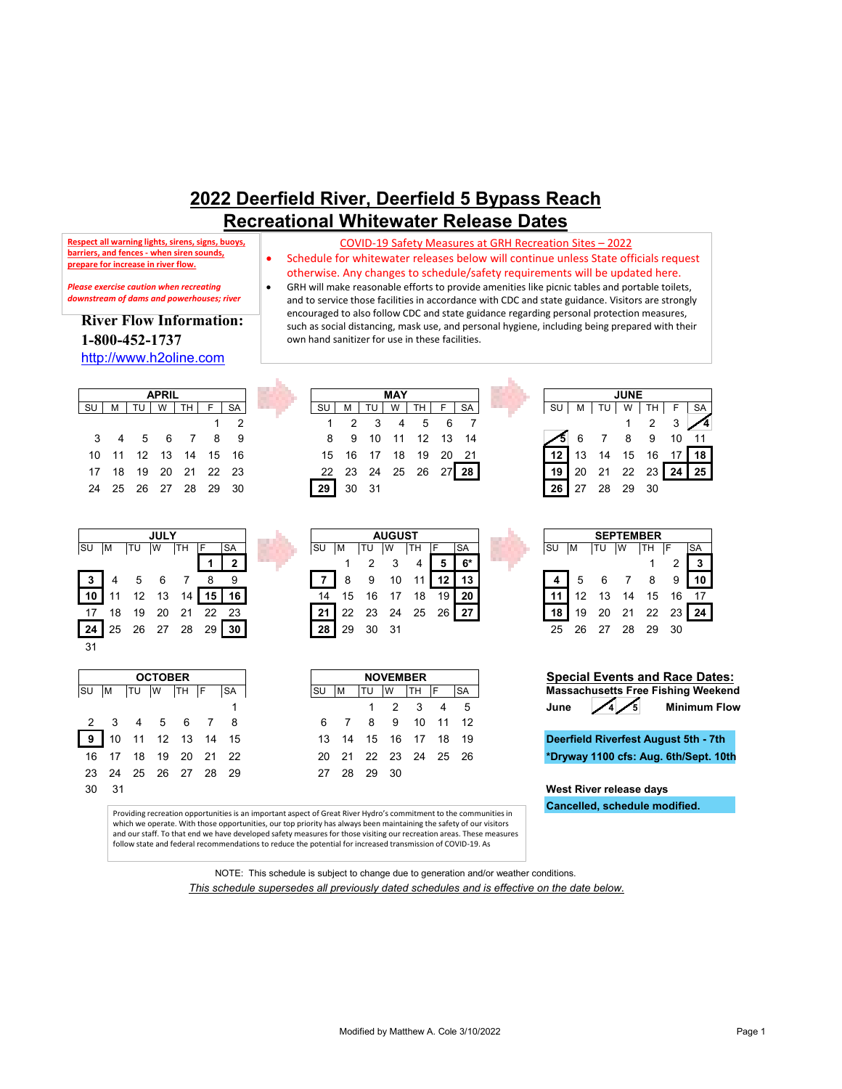## **2022 Deerfield River, Deerfield 5 Bypass Reach Recreational Whitewater Release Dates**

own hand sanitizer for use in these facilities.

COVID-19 Safety Measures at GRH Recreation Sites – 2022 • Schedule for whitewater releases below will continue unless State officials request otherwise. Any changes to schedule/safety requirements will be updated here. • GRH will make reasonable efforts to provide amenities like picnic tables and portable toilets, and to service those facilities in accordance with CDC and state guidance. Visitors are strongly encouraged to also follow CDC and state guidance regarding personal protection measures, such as social distancing, mask use, and personal hygiene, including being prepared with their

**Respect all warning lights, sirens, signs, buoys, barriers, and fences - when siren sounds, prepare for increase in river flow.**

*Please exercise caution when recreating downstream of dams and powerhouses; river* 

## **River Flow Information: 1-800-452-1737**

[http://www.h2oline.com](http://www.h2oline.com/)

|     |   |     | <b>APRIL</b> |                      |    |    |          |    | <b>MAY</b> |                      |    |                |                | <b>JUNE</b> |             |
|-----|---|-----|--------------|----------------------|----|----|----------|----|------------|----------------------|----|----------------|----------------|-------------|-------------|
| -SU | M | TUI | W            | TH                   | SA | SU | м        | TU | W          | TH                   | SA | SU I           | M TU W TH      |             |             |
|     |   |     |              |                      |    |    |          |    |            | 1 2 3 4 5 6 7        |    |                |                |             | $1 \quad 2$ |
|     |   |     |              | 3 4 5 6 7 8 9        |    |    |          |    |            | 8 9 10 11 12 13 14   |    |                | 56789          |             |             |
|     |   |     |              | 10 11 12 13 14 15 16 |    |    |          |    |            | 15 16 17 18 19 20 21 |    | 12 13 14 15 16 |                |             |             |
|     |   |     |              | 17 18 19 20 21 22 23 |    |    |          |    |            | 22 23 24 25 26 27 28 |    |                | 19 20 21 22 23 |             |             |
|     |   |     |              | 24 25 26 27 28 29 30 |    |    | 29 30 31 |    |            |                      |    |                | 26 27 28 29 30 |             |             |
|     |   |     |              |                      |    |    |          |    |            |                      |    |                |                |             |             |





|                 |    |    | <b>JULY</b> |    |    |    |           |    |     | <b>AUGUST</b> |    |    |           |           |    |    |     | <b>SEPTEMBER</b> |    |           |
|-----------------|----|----|-------------|----|----|----|-----------|----|-----|---------------|----|----|-----------|-----------|----|----|-----|------------------|----|-----------|
| SU              | ΙM | TU | ιw          | тн |    | SA | <b>SU</b> | ıм | ΙTυ | .W            | TН |    | <b>SA</b> | <b>SU</b> | ıΜ | TU | - W | TН               |    | <b>SA</b> |
|                 |    |    |             |    |    | າ  |           |    |     | 3             | 4  |    | $6*$      |           |    |    |     |                  |    |           |
| 3               |    |    |             |    |    |    |           |    | 9   | 10            | 11 |    | 13        |           | 5  |    |     |                  |    | 10        |
| 10 <sup>1</sup> |    | ィっ | 13          | 14 |    | 16 | 14        | 15 | 16  |               | 18 | 19 | 20        |           | 12 |    | 14  | 15               | 16 | -17       |
| 17              | 18 | 19 | 20          | 21 | 22 | 23 | 21        | 22 | 23  | 24            | 25 | 26 | 27        | 18        | 19 | 20 | 21  | 22               |    | 24        |
| 24              | 25 | 26 |             | 28 | 29 | 30 | 28        | 29 | 30  | 31            |    |    |           | 25        | 26 |    | 28  | 29               | 30 |           |

| <b>NOVEMBER</b> |                |      |                |           |               |           |  |  |  |  |
|-----------------|----------------|------|----------------|-----------|---------------|-----------|--|--|--|--|
|                 | м              | TU   |                | <b>TH</b> | IF.           | <b>SA</b> |  |  |  |  |
|                 |                | 1.   | $\overline{2}$ | 3         | Λ             | 5         |  |  |  |  |
| 6               | $\overline{7}$ | 8    | 9              |           | $10 \quad 11$ | 12        |  |  |  |  |
| 13              | 14 15 16 17    |      |                |           | -18           | 19        |  |  |  |  |
| 20              | 21 22 23 24 25 |      |                |           |               | 26        |  |  |  |  |
| 27              | -28            | - 29 | 30             |           |               |           |  |  |  |  |

SU | M | TU | W | TH | F | SA | SU | M | TU | W | TH | F | SA | SU | M | TU | W | TH | F | SA 2 1 2 3 4 5 6 7 1 2 3 **4** 4 5 6 7 8 9 8 9 10 11 12 13 14 **5** 6 7 8 9 10 11 11 12 13 14 15 16 15 16 17 18 19 20 21 **12** 13 14 15 16 17 **18** 18 19 20 21 22 23 22 23 24 25 26 27 **28 19** 20 21 22 23 **24 25**

| <b>SEPTEMBER</b> |    |      |                |        |    |     |  |  |  |  |  |
|------------------|----|------|----------------|--------|----|-----|--|--|--|--|--|
| SU               | M  | TU W |                | $TH$ F |    |     |  |  |  |  |  |
|                  |    |      |                |        |    |     |  |  |  |  |  |
|                  |    |      | 5 6 7          | 8      | 9  |     |  |  |  |  |  |
|                  |    |      | 12  13  14  15 |        | 16 | -17 |  |  |  |  |  |
|                  | 19 |      | 20  21  22  23 |        |    |     |  |  |  |  |  |
| 25               | 26 |      | 27 28          | 29     | 30 |     |  |  |  |  |  |

| <b>Special Events and Race Dates:</b>     |  |           |  |                  | <b>NOVEMBER</b> |          |           | <b>OCTOBER</b> |  |  |  |                         |  |  |
|-------------------------------------------|--|-----------|--|------------------|-----------------|----------|-----------|----------------|--|--|--|-------------------------|--|--|
| <b>Massachusetts Free Fishing Weekend</b> |  | <b>SA</b> |  | TU W TH F        |                 | <b>M</b> | <b>SU</b> |                |  |  |  | SU  M  TU  W  TH  F  SA |  |  |
| June $\sqrt{4/5}$<br><b>Minimum Flow</b>  |  |           |  | 1 2 3 4 5        |                 |          |           |                |  |  |  |                         |  |  |
|                                           |  |           |  | 6 7 8 9 10 11 12 |                 |          |           |                |  |  |  | 2 3 4 5 6 7 8           |  |  |

16 17 18 19 20 21 22 20 21 22 23 24 25 26 **\*Dryway 1100 cfs: Aug. 6th/Sept. 10th**

**Cancelled, schedule modified. West River release days**

Providing recreation opportunities is an important aspect of Great River Hydro's commitment to the communities in which we operate. With those opportunities, our top priority has always been maintaining the safety of our visitors and our staff. To that end we have developed safety measures for those visiting our recreation areas. These measures follow state and federal recommendations to reduce the potential for increased transmission of COVID-19. As

> NOTE: This schedule is subject to change due to generation and/or weather conditions. *This schedule supersedes all previously dated schedules and is effective on the date below.*